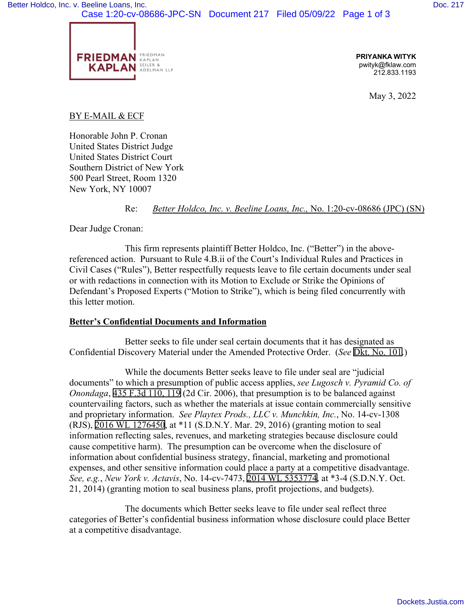

**PRIYANKA WITYK**  pwityk@fklaw.com 212.833.1193

May 3, 2022

## BY E-MAIL & ECF

Honorable John P. Cronan United States District Judge United States District Court Southern District of New York 500 Pearl Street, Room 1320 New York, NY 10007

Re: *Better Holdco, Inc. v. Beeline Loans, Inc.,* No. 1:20-cv-08686 (JPC) (SN)

Dear Judge Cronan:

This firm represents plaintiff Better Holdco, Inc. ("Better") in the abovereferenced action. Pursuant to Rule 4.B.ii of the Court's Individual Rules and Practices in Civil Cases ("Rules"), Better respectfully requests leave to file certain documents under seal or with redactions in connection with its Motion to Exclude or Strike the Opinions of Defendant's Proposed Experts ("Motion to Strike"), which is being filed concurrently with this letter motion.

## **Better's Confidential Documents and Information**

Better seeks to file under seal certain documents that it has designated as Confidential Discovery Material under the Amended Protective Order. (*See* [Dkt. No. 101](https://nysd-ecf.sso.dcn/n/cmecfservices/rest/file/finddoc?caseYear=2020&caseNum=08686&caseType=cv&caseOffice=1&docNum=101).)

While the documents Better seeks leave to file under seal are "judicial documents" to which a presumption of public access applies, *see Lugosch v. Pyramid Co. of Onondaga*, [435 F.3d 110, 119](http://scholar.google.com/scholar?q=435++f.3d++110&btnG=&hl=en&as_sdt=6) (2d Cir. 2006), that presumption is to be balanced against countervailing factors, such as whether the materials at issue contain commercially sensitive and proprietary information. *See Playtex Prods., LLC v. Munchkin, Inc.*, No. 14-cv-1308 (RJS), [2016 WL 1276450,](https://www.westlaw.com/Link/Document/FullText?rs=USCLink&vr=3.0&findType=Y&cite=2016%2B%2Bwl%2B%2B1276450&refPos=1276450&refPosType=s&clientid=USCourts) at \*11 (S.D.N.Y. Mar. 29, 2016) (granting motion to seal information reflecting sales, revenues, and marketing strategies because disclosure could cause competitive harm). The presumption can be overcome when the disclosure of information about confidential business strategy, financial, marketing and promotional expenses, and other sensitive information could place a party at a competitive disadvantage. *See, e.g.*, *New York v. Actavis*, No. 14-cv-7473, [2014 WL 5353774](https://www.westlaw.com/Link/Document/FullText?rs=USCLink&vr=3.0&findType=Y&cite=2014%2B%2Bwl%2B%2B5353774&refPos=5353774&refPosType=s&clientid=USCourts), at \*3-4 (S.D.N.Y. Oct. 21, 2014) (granting motion to seal business plans, profit projections, and budgets).

The documents which Better seeks leave to file under seal reflect three categories of Better's confidential business information whose disclosure could place Better at a competitive disadvantage.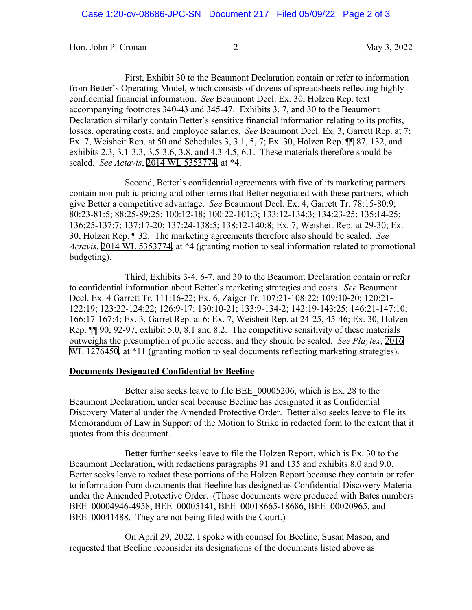Hon. John P. Cronan - 2 - 2 - 1999 May 3, 2022

First, Exhibit 30 to the Beaumont Declaration contain or refer to information from Better's Operating Model, which consists of dozens of spreadsheets reflecting highly confidential financial information. *See* Beaumont Decl. Ex. 30, Holzen Rep. text accompanying footnotes 340-43 and 345-47. Exhibits 3, 7, and 30 to the Beaumont Declaration similarly contain Better's sensitive financial information relating to its profits, losses, operating costs, and employee salaries. *See* Beaumont Decl. Ex. 3, Garrett Rep. at 7; Ex. 7, Weisheit Rep. at 50 and Schedules 3, 3.1, 5, 7; Ex. 30, Holzen Rep. ¶¶ 87, 132, and exhibits 2.3, 3.1-3.3, 3.5-3.6, 3.8, and 4.3-4.5, 6.1. These materials therefore should be sealed. *See Actavis*, [2014 WL 5353774,](https://www.westlaw.com/Link/Document/FullText?rs=USCLink&vr=3.0&findType=Y&cite=2014%2B%2Bwl%2B%2B5353774&refPos=5353774&refPosType=s&clientid=USCourts) at \*4.

Second, Better's confidential agreements with five of its marketing partners contain non-public pricing and other terms that Better negotiated with these partners, which give Better a competitive advantage. *See* Beaumont Decl. Ex. 4, Garrett Tr. 78:15-80:9; 80:23-81:5; 88:25-89:25; 100:12-18; 100:22-101:3; 133:12-134:3; 134:23-25; 135:14-25; 136:25-137:7; 137:17-20; 137:24-138:5; 138:12-140:8; Ex. 7, Weisheit Rep. at 29-30; Ex. 30, Holzen Rep. ¶ 32. The marketing agreements therefore also should be sealed. *See Actavis*, [2014 WL 5353774](https://www.westlaw.com/Link/Document/FullText?rs=USCLink&vr=3.0&findType=Y&cite=2014%2B%2Bwl%2B%2B5353774&refPos=5353774&refPosType=s&clientid=USCourts), at \*4 (granting motion to seal information related to promotional budgeting).

Third, Exhibits 3-4, 6-7, and 30 to the Beaumont Declaration contain or refer to confidential information about Better's marketing strategies and costs. *See* Beaumont Decl. Ex. 4 Garrett Tr. 111:16-22; Ex. 6, Zaiger Tr. 107:21-108:22; 109:10-20; 120:21- 122:19; 123:22-124:22; 126:9-17; 130:10-21; 133:9-134-2; 142:19-143:25; 146:21-147:10; 166:17-167:4; Ex. 3, Garret Rep. at 6; Ex. 7, Weisheit Rep. at 24-25, 45-46; Ex. 30, Holzen Rep. ¶¶ 90, 92-97, exhibit 5.0, 8.1 and 8.2. The competitive sensitivity of these materials outweighs the presumption of public access, and they should be sealed. *See Playtex*, [2016](https://www.westlaw.com/Link/Document/FullText?rs=USCLink&vr=3.0&findType=Y&cite=2016%2Bwl%2B%2B1276450&refPos=1276450&refPosType=s&clientid=USCourts)  [WL 1276450,](https://www.westlaw.com/Link/Document/FullText?rs=USCLink&vr=3.0&findType=Y&cite=2016%2Bwl%2B%2B1276450&refPos=1276450&refPosType=s&clientid=USCourts) at \*11 (granting motion to seal documents reflecting marketing strategies).

## **Documents Designated Confidential by Beeline**

Better also seeks leave to file BEE\_00005206, which is Ex. 28 to the Beaumont Declaration, under seal because Beeline has designated it as Confidential Discovery Material under the Amended Protective Order. Better also seeks leave to file its Memorandum of Law in Support of the Motion to Strike in redacted form to the extent that it quotes from this document.

Better further seeks leave to file the Holzen Report, which is Ex. 30 to the Beaumont Declaration, with redactions paragraphs 91 and 135 and exhibits 8.0 and 9.0. Better seeks leave to redact these portions of the Holzen Report because they contain or refer to information from documents that Beeline has designed as Confidential Discovery Material under the Amended Protective Order. (Those documents were produced with Bates numbers BEE\_00004946-4958, BEE\_00005141, BEE\_00018665-18686, BEE\_00020965, and BEE 00041488. They are not being filed with the Court.)

On April 29, 2022, I spoke with counsel for Beeline, Susan Mason, and requested that Beeline reconsider its designations of the documents listed above as